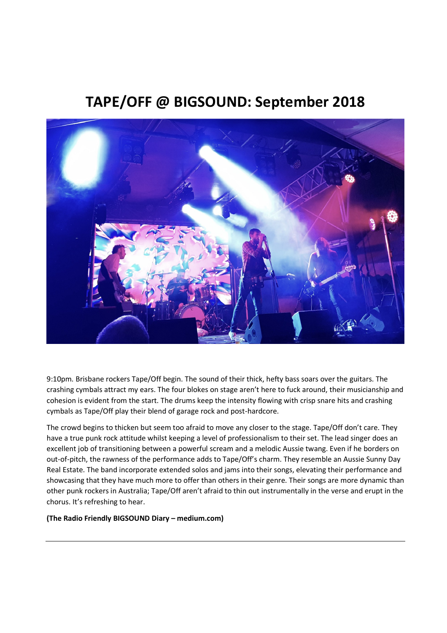# TAPE/OFF @ BIGSOUND: September 2018



9:10pm. Brisbane rockers Tape/Off begin. The sound of their thick, hefty bass soars over the guitars. The crashing cymbals attract my ears. The four blokes on stage aren't here to fuck around, their musicianship and cohesion is evident from the start. The drums keep the intensity flowing with crisp snare hits and crashing cymbals as Tape/Off play their blend of garage rock and post-hardcore.

The crowd begins to thicken but seem too afraid to move any closer to the stage. Tape/Off don't care. They have a true punk rock attitude whilst keeping a level of professionalism to their set. The lead singer does an excellent job of transitioning between a powerful scream and a melodic Aussie twang. Even if he borders on out-of-pitch, the rawness of the performance adds to Tape/Off's charm. They resemble an Aussie Sunny Day Real Estate. The band incorporate extended solos and jams into their songs, elevating their performance and showcasing that they have much more to offer than others in their genre. Their songs are more dynamic than other punk rockers in Australia; Tape/Off aren't afraid to thin out instrumentally in the verse and erupt in the chorus. It's refreshing to hear.

# (The Radio Friendly BIGSOUND Diary – medium.com)